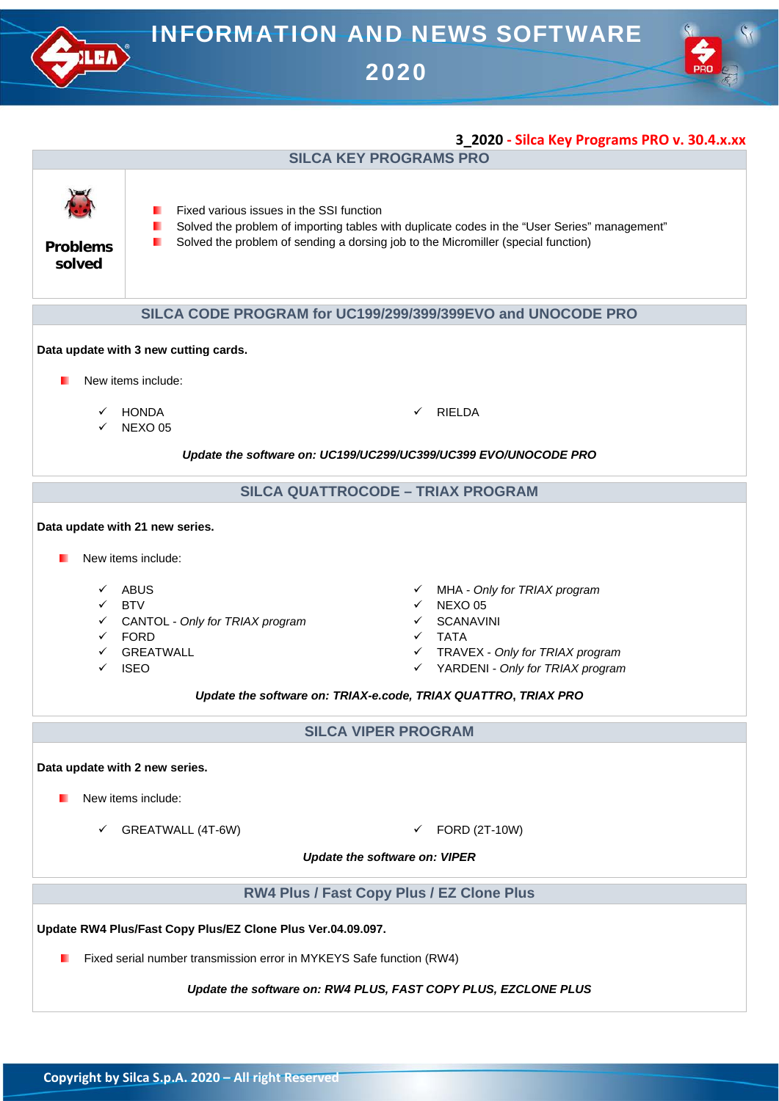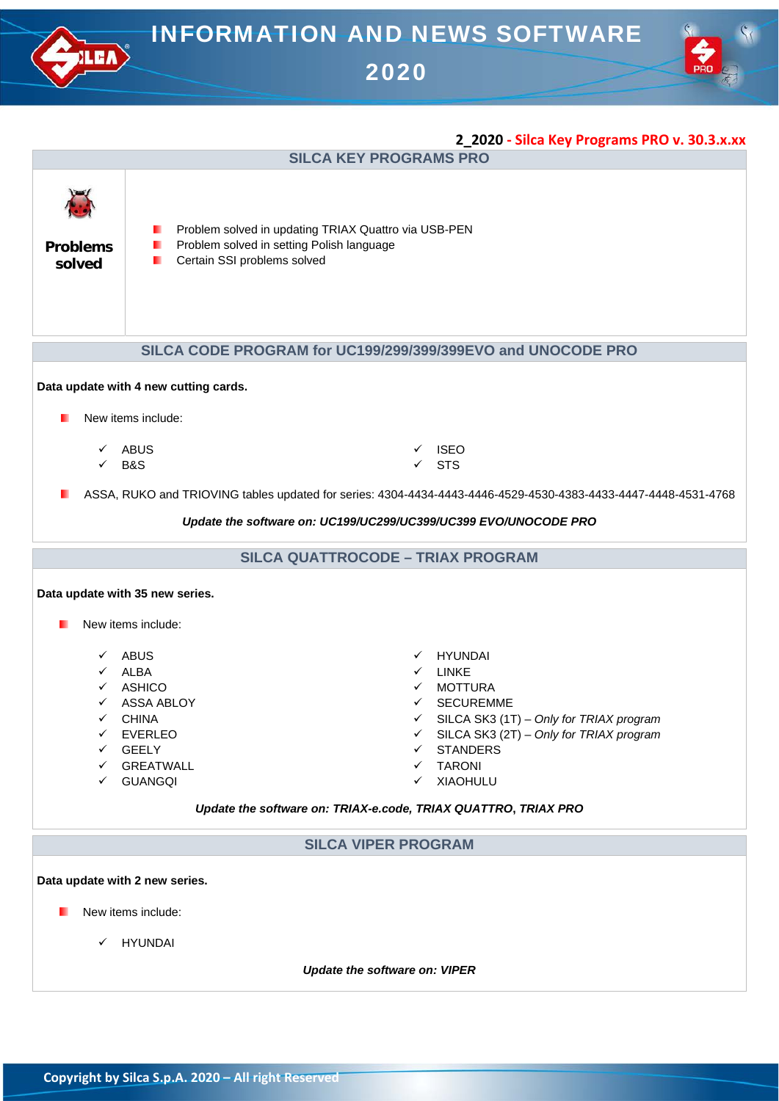

- New items include:
	- HYUNDAI

*Update the software on: VIPER*